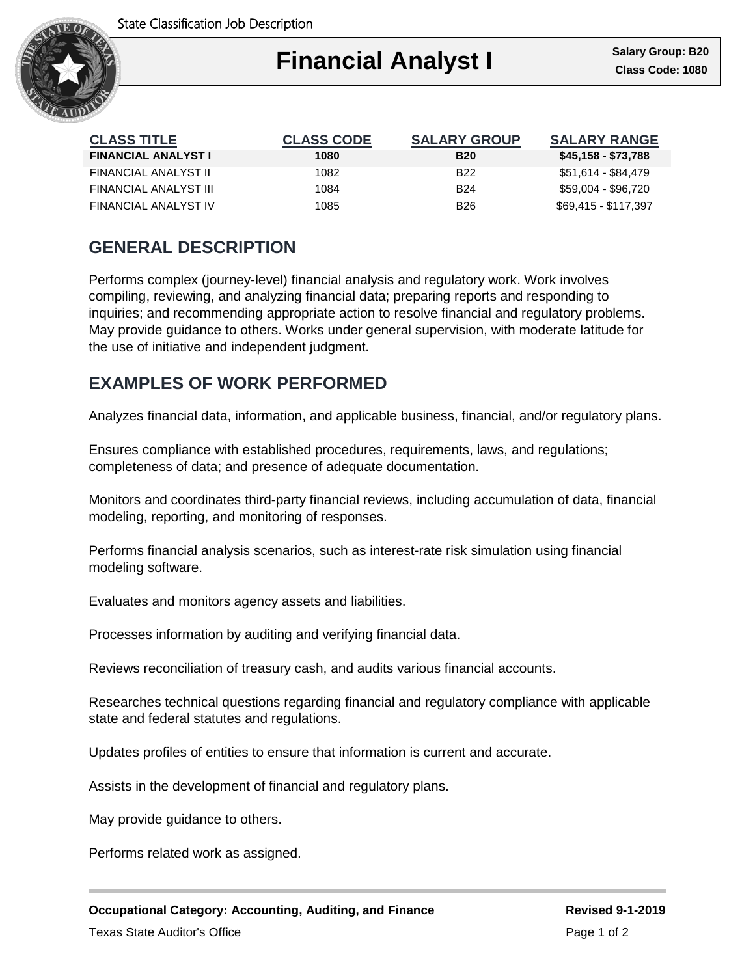State Classification Job Description



| <b>CLASS TITLE</b>         | <b>CLASS CODE</b> | <b>SALARY GROUP</b> | <b>SALARY RANGE</b>  |
|----------------------------|-------------------|---------------------|----------------------|
| <b>FINANCIAL ANALYST I</b> | 1080              | <b>B20</b>          | \$45,158 - \$73,788  |
| FINANCIAL ANALYST II       | 1082              | B <sub>22</sub>     | \$51,614 - \$84,479  |
| FINANCIAL ANALYST III      | 1084              | <b>B24</b>          | \$59.004 - \$96.720  |
| FINANCIAL ANALYST IV       | 1085              | <b>B26</b>          | \$69.415 - \$117.397 |

# **GENERAL DESCRIPTION**

Performs complex (journey-level) financial analysis and regulatory work. Work involves compiling, reviewing, and analyzing financial data; preparing reports and responding to inquiries; and recommending appropriate action to resolve financial and regulatory problems. May provide guidance to others. Works under general supervision, with moderate latitude for the use of initiative and independent judgment.

# **EXAMPLES OF WORK PERFORMED**

Analyzes financial data, information, and applicable business, financial, and/or regulatory plans.

Ensures compliance with established procedures, requirements, laws, and regulations; completeness of data; and presence of adequate documentation.

Monitors and coordinates third-party financial reviews, including accumulation of data, financial modeling, reporting, and monitoring of responses.

Performs financial analysis scenarios, such as interest-rate risk simulation using financial modeling software.

Evaluates and monitors agency assets and liabilities.

Processes information by auditing and verifying financial data.

Reviews reconciliation of treasury cash, and audits various financial accounts.

Researches technical questions regarding financial and regulatory compliance with applicable state and federal statutes and regulations.

Updates profiles of entities to ensure that information is current and accurate.

Assists in the development of financial and regulatory plans.

May provide guidance to others.

Performs related work as assigned.